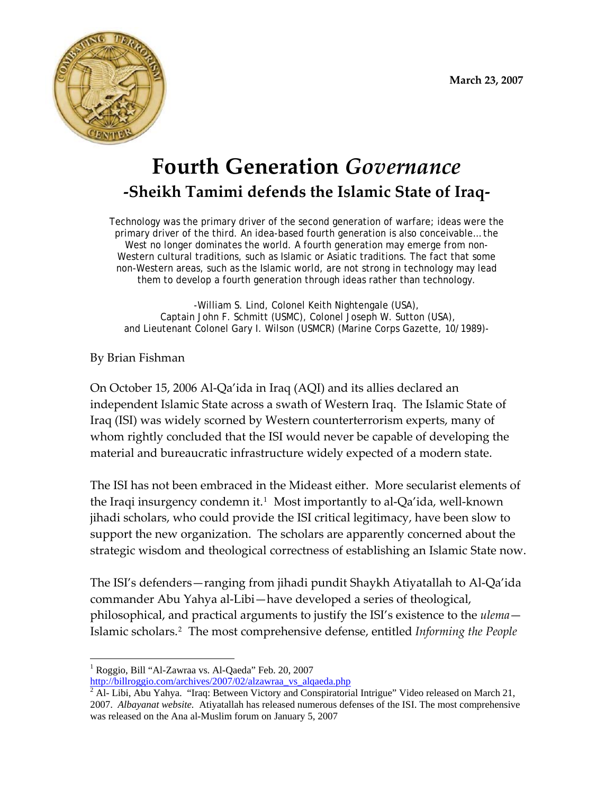

# **Fourth Generation** *Governance*  **‐Sheikh Tamimi defends the Islamic State of Iraq‐**

Technology was the primary driver of the second generation of warfare; ideas were the primary driver of the third. An idea-based fourth generation is also conceivable… the West no longer dominates the world. A fourth generation may emerge from non-Western cultural traditions, such as Islamic or Asiatic traditions. The fact that some non-Western areas, such as the Islamic world, are not strong in technology may lead them to develop a fourth generation through ideas rather than technology.

-William S. Lind, Colonel Keith Nightengale (USA), Captain John F. Schmitt (USMC), Colonel Joseph W. Sutton (USA), and Lieutenant Colonel Gary I. Wilson (USMCR) (Marine Corps Gazette, 10/1989)-

# By Brian Fishman

1

On October 15, 2006 Al‐Qa'ida in Iraq (AQI) and its allies declared an independent Islamic State across a swath of Western Iraq. The Islamic State of Iraq (ISI) was widely scorned by Western counterterrorism experts, many of whom rightly concluded that the ISI would never be capable of developing the material and bureaucratic infrastructure widely expected of a modern state.

The ISI has not been embraced in the Mideast either. More secularist elements of the Iraqi insurgency condemn it.[1](#page-0-0) Most importantly to al‐Qa'ida, well‐known jihadi scholars, who could provide the ISI critical legitimacy, have been slow to support the new organization. The scholars are apparently concerned about the strategic wisdom and theological correctness of establishing an Islamic State now.

The ISI's defenders—ranging from jihadi pundit Shaykh Atiyatallah to Al‐Qa'ida commander Abu Yahya al‐Libi—have developed a series of theological, philosophical, and practical arguments to justify the ISI's existence to the *ulema*— Islamic scholars.[2](#page-0-1) The most comprehensive defense, entitled *Informing the People*

<span id="page-0-0"></span><sup>&</sup>lt;sup>1</sup> Roggio, Bill "Al-Zawraa vs. Al-Qaeda" Feb. 20, 2007

http://billroggio.com/archives/2007/02/alzawraa\_vs\_alqaeda.php

<span id="page-0-1"></span> $\sqrt[2]{2}$  Al-Libi, Abu Yahya. "Iraq: Between Victory and Conspiratorial Intrigue" Video released on March 21, 2007. *Albayanat website.* Atiyatallah has released numerous defenses of the ISI. The most comprehensive was released on the Ana al-Muslim forum on January 5, 2007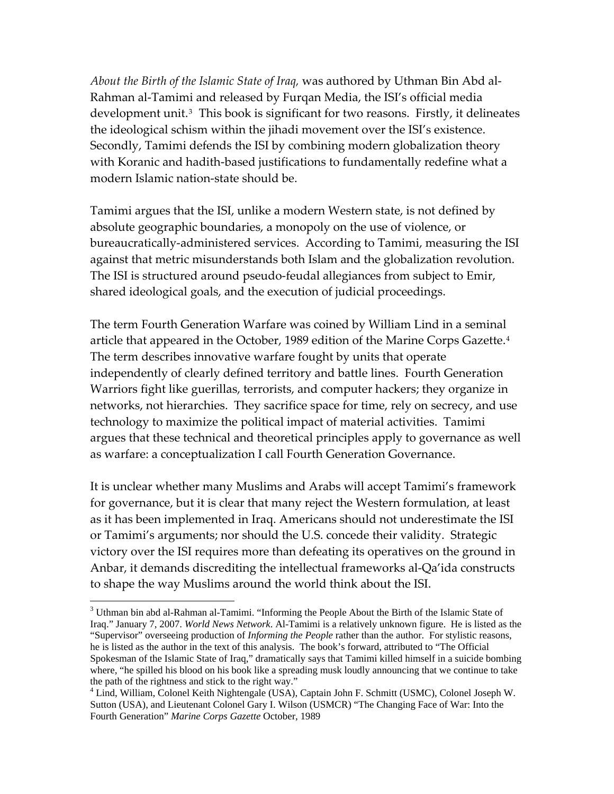*About the Birth of the Islamic State of Iraq,* was authored by Uthman Bin Abd al‐ Rahman al‐Tamimi and released by Furqan Media, the ISI's official media development unit.<sup>[3](#page-1-0)</sup> This book is significant for two reasons. Firstly, it delineates the ideological schism within the jihadi movement over the ISI's existence. Secondly, Tamimi defends the ISI by combining modern globalization theory with Koranic and hadith-based justifications to fundamentally redefine what a modern Islamic nation‐state should be.

Tamimi argues that the ISI, unlike a modern Western state, is not defined by absolute geographic boundaries, a monopoly on the use of violence, or bureaucratically‐administered services. According to Tamimi, measuring the ISI against that metric misunderstands both Islam and the globalization revolution. The ISI is structured around pseudo-feudal allegiances from subject to Emir, shared ideological goals, and the execution of judicial proceedings.

The term Fourth Generation Warfare was coined by William Lind in a seminal article that appeared in the October, 1989 edition of the Marine Corps Gazette.<sup>[4](#page-1-1)</sup> The term describes innovative warfare fought by units that operate independently of clearly defined territory and battle lines. Fourth Generation Warriors fight like guerillas, terrorists, and computer hackers; they organize in networks, not hierarchies. They sacrifice space for time, rely on secrecy, and use technology to maximize the political impact of material activities. Tamimi argues that these technical and theoretical principles apply to governance as well as warfare: a conceptualization I call Fourth Generation Governance.

It is unclear whether many Muslims and Arabs will accept Tamimi's framework for governance, but it is clear that many reject the Western formulation, at least as it has been implemented in Iraq. Americans should not underestimate the ISI or Tamimi's arguments; nor should the U.S. concede their validity. Strategic victory over the ISI requires more than defeating its operatives on the ground in Anbar, it demands discrediting the intellectual frameworks al‐Qa'ida constructs to shape the way Muslims around the world think about the ISI.

1

<span id="page-1-0"></span><sup>&</sup>lt;sup>3</sup> Uthman bin abd al-Rahman al-Tamimi. "Informing the People About the Birth of the Islamic State of Iraq." January 7, 2007. *World News Network*. Al-Tamimi is a relatively unknown figure. He is listed as the "Supervisor" overseeing production of *Informing the People* rather than the author. For stylistic reasons, he is listed as the author in the text of this analysis. The book's forward, attributed to "The Official Spokesman of the Islamic State of Iraq," dramatically says that Tamimi killed himself in a suicide bombing where, "he spilled his blood on his book like a spreading musk loudly announcing that we continue to take the path of the rightness and stick to the right way."

<span id="page-1-1"></span><sup>4</sup> Lind, William, Colonel Keith Nightengale (USA), Captain John F. Schmitt (USMC), Colonel Joseph W. Sutton (USA), and Lieutenant Colonel Gary I. Wilson (USMCR) "The Changing Face of War: Into the Fourth Generation" *Marine Corps Gazette* October, 1989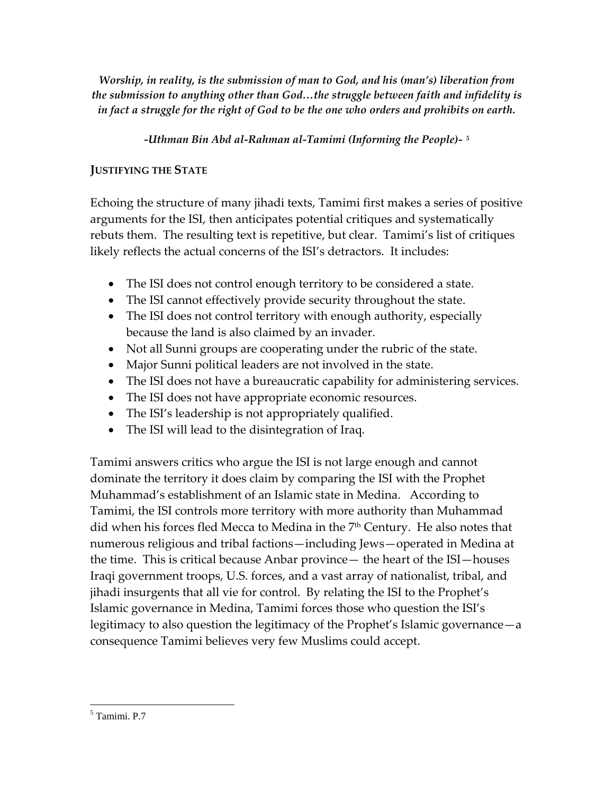*Worship, in reality, is the submission of man to God, and his (man's) liberation from the submission to anything other than God…the struggle between faith and infidelity is in fact a struggle for the right of God to be the one who orders and prohibits on earth.*

*‐Uthman Bin Abd al‐Rahman al‐Tamimi (Informing the People)‐ [5](#page-2-0)*

## **JUSTIFYING THE STATE**

Echoing the structure of many jihadi texts, Tamimi first makes a series of positive arguments for the ISI, then anticipates potential critiques and systematically rebuts them. The resulting text is repetitive, but clear. Tamimi's list of critiques likely reflects the actual concerns of the ISI's detractors. It includes:

- The ISI does not control enough territory to be considered a state.
- The ISI cannot effectively provide security throughout the state.
- The ISI does not control territory with enough authority, especially because the land is also claimed by an invader.
- Not all Sunni groups are cooperating under the rubric of the state.
- Major Sunni political leaders are not involved in the state.
- The ISI does not have a bureaucratic capability for administering services.
- The ISI does not have appropriate economic resources.
- The ISI's leadership is not appropriately qualified.
- The ISI will lead to the disintegration of Iraq.

Tamimi answers critics who argue the ISI is not large enough and cannot dominate the territory it does claim by comparing the ISI with the Prophet Muhammad's establishment of an Islamic state in Medina. According to Tamimi, the ISI controls more territory with more authority than Muhammad did when his forces fled Mecca to Medina in the  $7<sup>th</sup>$  Century. He also notes that numerous religious and tribal factions—including Jews—operated in Medina at the time. This is critical because Anbar province— the heart of the ISI—houses Iraqi government troops, U.S. forces, and a vast array of nationalist, tribal, and jihadi insurgents that all vie for control. By relating the ISI to the Prophet's Islamic governance in Medina, Tamimi forces those who question the ISI's legitimacy to also question the legitimacy of the Prophet's Islamic governance—a consequence Tamimi believes very few Muslims could accept.

<span id="page-2-0"></span> $\overline{a}$ 5 Tamimi. P.7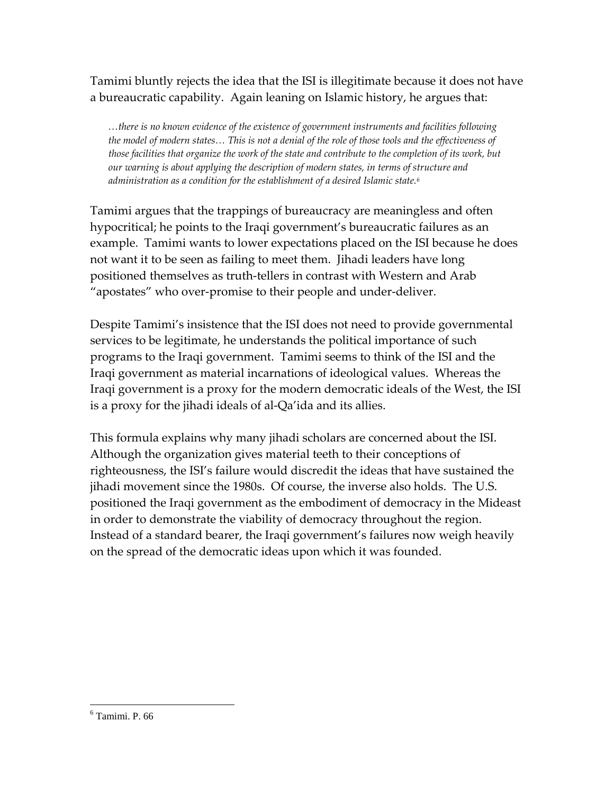Tamimi bluntly rejects the idea that the ISI is illegitimate because it does not have a bureaucratic capability. Again leaning on Islamic history, he argues that:

*…there is no known evidence of the existence of government instruments and facilities following* the model of modern states... This is not a denial of the role of those tools and the effectiveness of those facilities that organize the work of the state and contribute to the completion of its work, but *our warning is about applying the description of modern states, in terms of structure and administration as a condition for the establishment of a desired Islamic state.[6](#page-3-0)*

Tamimi argues that the trappings of bureaucracy are meaningless and often hypocritical; he points to the Iraqi government's bureaucratic failures as an example. Tamimi wants to lower expectations placed on the ISI because he does not want it to be seen as failing to meet them. Jihadi leaders have long positioned themselves as truth‐tellers in contrast with Western and Arab "apostates" who over‐promise to their people and under‐deliver.

Despite Tamimi's insistence that the ISI does not need to provide governmental services to be legitimate, he understands the political importance of such programs to the Iraqi government. Tamimi seems to think of the ISI and the Iraqi government as material incarnations of ideological values. Whereas the Iraqi government is a proxy for the modern democratic ideals of the West, the ISI is a proxy for the jihadi ideals of al‐Qa'ida and its allies.

This formula explains why many jihadi scholars are concerned about the ISI. Although the organization gives material teeth to their conceptions of righteousness, the ISI's failure would discredit the ideas that have sustained the jihadi movement since the 1980s. Of course, the inverse also holds. The U.S. positioned the Iraqi government as the embodiment of democracy in the Mideast in order to demonstrate the viability of democracy throughout the region. Instead of a standard bearer, the Iraqi government's failures now weigh heavily on the spread of the democratic ideas upon which it was founded.

<span id="page-3-0"></span><sup>6</sup> Tamimi. P. 66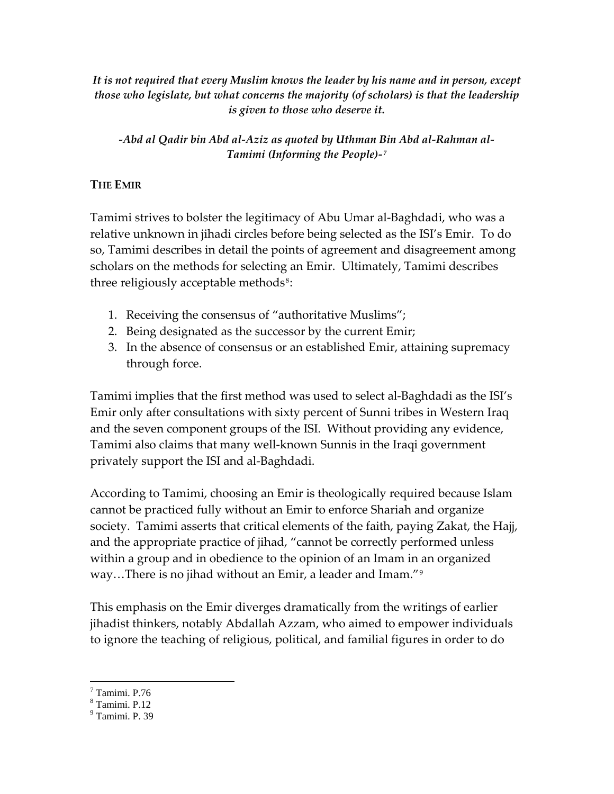*It is not required that every Muslim knows the leader by his name and in person, except those who legislate, but what concerns the majority (of scholars) is that the leadership is given to those who deserve it.*

## *‐Abd al Qadir bin Abd al‐Aziz as quoted by Uthman Bin Abd al‐Rahman al‐ Tamimi (Informing the People)‐[7](#page-4-0)*

## **THE EMIR**

Tamimi strives to bolster the legitimacy of Abu Umar al‐Baghdadi, who was a relative unknown in jihadi circles before being selected as the ISI's Emir. To do so, Tamimi describes in detail the points of agreement and disagreement among scholars on the methods for selecting an Emir. Ultimately, Tamimi describes three religiously acceptable methods<sup>[8](#page-4-1)</sup>:

- 1. Receiving the consensus of "authoritative Muslims";
- 2. Being designated as the successor by the current Emir;
- 3. In the absence of consensus or an established Emir, attaining supremacy through force.

Tamimi implies that the first method was used to select al‐Baghdadi as the ISI's Emir only after consultations with sixty percent of Sunni tribes in Western Iraq and the seven component groups of the ISI. Without providing any evidence, Tamimi also claims that many well‐known Sunnis in the Iraqi government privately support the ISI and al‐Baghdadi.

According to Tamimi, choosing an Emir is theologically required because Islam cannot be practiced fully without an Emir to enforce Shariah and organize society. Tamimi asserts that critical elements of the faith, paying Zakat, the Hajj, and the appropriate practice of jihad, "cannot be correctly performed unless within a group and in obedience to the opinion of an Imam in an organized way…There is no jihad without an Emir, a leader and Imam."[9](#page-4-2)

This emphasis on the Emir diverges dramatically from the writings of earlier jihadist thinkers, notably Abdallah Azzam, who aimed to empower individuals to ignore the teaching of religious, political, and familial figures in order to do

<span id="page-4-1"></span><span id="page-4-0"></span>7 Tamimi. P.76

1

<sup>8</sup> Tamimi. P.12

<span id="page-4-2"></span><sup>9</sup> Tamimi. P. 39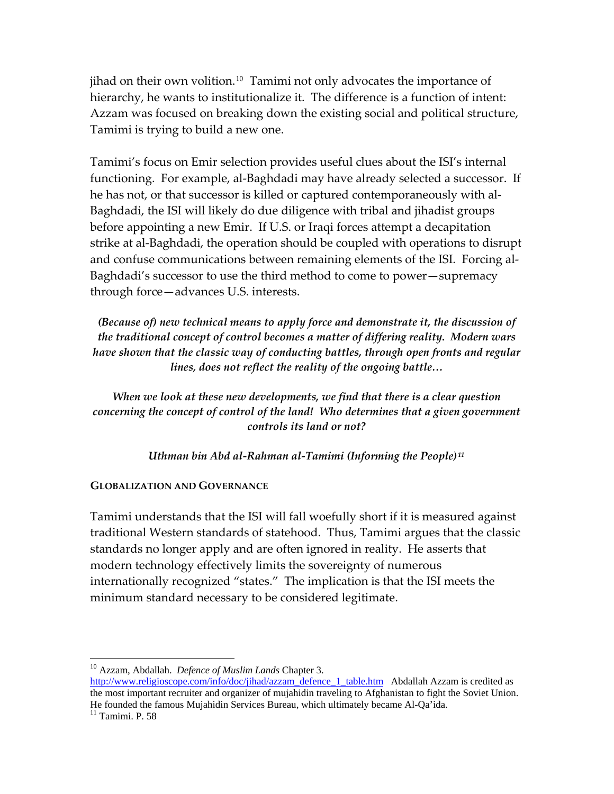jihad on their own volition.<sup>[10](#page-5-0)</sup> Tamimi not only advocates the importance of hierarchy, he wants to institutionalize it. The difference is a function of intent: Azzam was focused on breaking down the existing social and political structure, Tamimi is trying to build a new one.

Tamimi's focus on Emir selection provides useful clues about the ISI's internal functioning. For example, al-Baghdadi may have already selected a successor. If he has not, or that successor is killed or captured contemporaneously with al‐ Baghdadi, the ISI will likely do due diligence with tribal and jihadist groups before appointing a new Emir. If U.S. or Iraqi forces attempt a decapitation strike at al‐Baghdadi, the operation should be coupled with operations to disrupt and confuse communications between remaining elements of the ISI. Forcing al-Baghdadi's successor to use the third method to come to power—supremacy through force—advances U.S. interests.

*(Because of) new technical means to apply force and demonstrate it, the discussion of the traditional concept of control becomes a matter of differing reality. Modern wars have shown that the classic way of conducting battles, through open fronts and regular lines, does not reflect the reality of the ongoing battle…*

*When we look at these new developments, we find that there is a clear question concerning the concept of control of the land! Who determines that a given government controls its land or not?*

*Uthman bin Abd al‐Rahman al‐Tamimi (Informing the People) [11](#page-5-1)*

#### **GLOBALIZATION AND GOVERNANCE**

Tamimi understands that the ISI will fall woefully short if it is measured against traditional Western standards of statehood. Thus, Tamimi argues that the classic standards no longer apply and are often ignored in reality. He asserts that modern technology effectively limits the sovereignty of numerous internationally recognized "states." The implication is that the ISI meets the minimum standard necessary to be considered legitimate.

<span id="page-5-0"></span><sup>10</sup> Azzam, Abdallah. *Defence of Muslim Lands* Chapter 3.

[http://www.religioscope.com/info/doc/jihad/azzam\\_defence\\_1\\_table.htm](http://www.religioscope.com/info/doc/jihad/azzam_defence_1_table.htm) Abdallah Azzam is credited as the most important recruiter and organizer of mujahidin traveling to Afghanistan to fight the Soviet Union. He founded the famous Mujahidin Services Bureau, which ultimately became Al-Qa'ida. 11 Tamimi. P. 58

<span id="page-5-1"></span>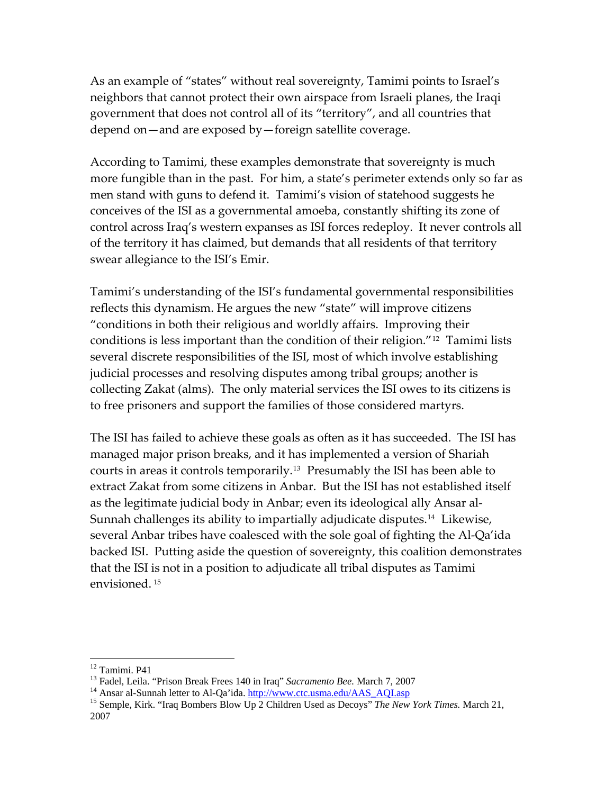As an example of "states" without real sovereignty, Tamimi points to Israel's neighbors that cannot protect their own airspace from Israeli planes, the Iraqi government that does not control all of its "territory", and all countries that depend on—and are exposed by—foreign satellite coverage.

According to Tamimi, these examples demonstrate that sovereignty is much more fungible than in the past. For him, a state's perimeter extends only so far as men stand with guns to defend it. Tamimi's vision of statehood suggests he conceives of the ISI as a governmental amoeba, constantly shifting its zone of control across Iraq's western expanses as ISI forces redeploy. It never controls all of the territory it has claimed, but demands that all residents of that territory swear allegiance to the ISI's Emir.

Tamimi's understanding of the ISI's fundamental governmental responsibilities reflects this dynamism. He argues the new "state" will improve citizens "conditions in both their religious and worldly affairs. Improving their conditions is less important than the condition of their religion."[12](#page-6-0) Tamimi lists several discrete responsibilities of the ISI, most of which involve establishing judicial processes and resolving disputes among tribal groups; another is collecting Zakat (alms). The only material services the ISI owes to its citizens is to free prisoners and support the families of those considered martyrs.

The ISI has failed to achieve these goals as often as it has succeeded. The ISI has managed major prison breaks, and it has implemented a version of Shariah courts in areas it controls temporarily.[13](#page-6-1) Presumably the ISI has been able to extract Zakat from some citizens in Anbar. But the ISI has not established itself as the legitimate judicial body in Anbar; even its ideological ally Ansar al‐ Sunnah challenges its ability to impartially adjudicate disputes.<sup>[14](#page-6-2)</sup> Likewise, several Anbar tribes have coalesced with the sole goal of fighting the Al‐Qa'ida backed ISI. Putting aside the question of sovereignty, this coalition demonstrates that the ISI is not in a position to adjudicate all tribal disputes as Tamimi envisioned. [15](#page-6-3)

<span id="page-6-0"></span><sup>&</sup>lt;sup>12</sup> Tamimi. P41<br><sup>13</sup> Fadel, Leila. "Prison Break Frees 140 in Iraq" Sacramento Bee. March 7, 2007

<span id="page-6-3"></span><span id="page-6-2"></span><span id="page-6-1"></span><sup>&</sup>lt;sup>14</sup> Ansar al-Sunnah letter to Al-Qa'ida. http://www.ctc.usma.edu/AAS\_AQI.asp<br><sup>15</sup> Semple, Kirk. "Iraq Bombers Blow Up 2 Children Used as Decoys" *The New York Times*. March 21, 2007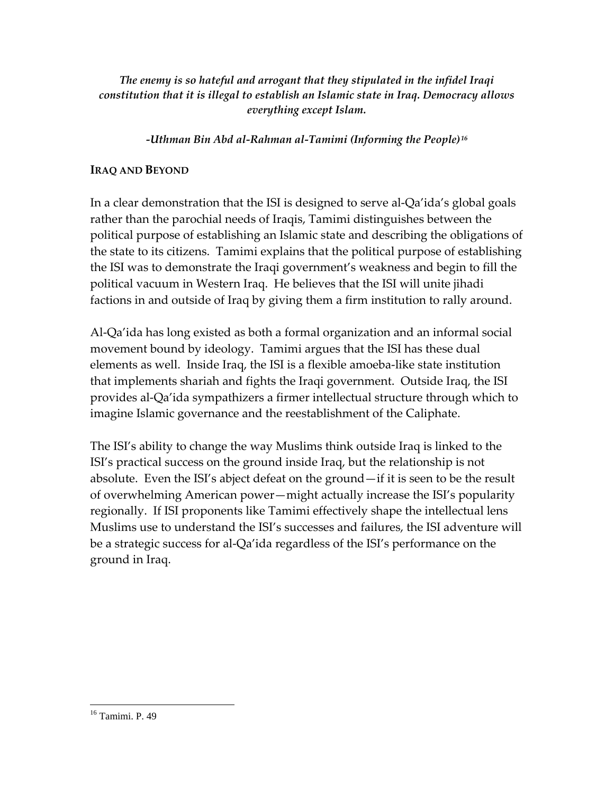*The enemy is so hateful and arrogant that they stipulated in the infidel Iraqi constitution that it is illegal to establish an Islamic state in Iraq. Democracy allows everything except Islam.*

*‐Uthman Bin Abd al‐Rahman al‐Tamimi (Informing the People)[16](#page-7-0)*

## **IRAQ AND BEYOND**

In a clear demonstration that the ISI is designed to serve al‐Qa'ida's global goals rather than the parochial needs of Iraqis, Tamimi distinguishes between the political purpose of establishing an Islamic state and describing the obligations of the state to its citizens. Tamimi explains that the political purpose of establishing the ISI was to demonstrate the Iraqi government's weakness and begin to fill the political vacuum in Western Iraq. He believes that the ISI will unite jihadi factions in and outside of Iraq by giving them a firm institution to rally around.

Al‐Qa'ida has long existed as both a formal organization and an informal social movement bound by ideology. Tamimi argues that the ISI has these dual elements as well. Inside Iraq, the ISI is a flexible amoeba‐like state institution that implements shariah and fights the Iraqi government. Outside Iraq, the ISI provides al‐Qa'ida sympathizers a firmer intellectual structure through which to imagine Islamic governance and the reestablishment of the Caliphate.

The ISI's ability to change the way Muslims think outside Iraq is linked to the ISI's practical success on the ground inside Iraq, but the relationship is not absolute. Even the ISI's abject defeat on the ground—if it is seen to be the result of overwhelming American power—might actually increase the ISI's popularity regionally. If ISI proponents like Tamimi effectively shape the intellectual lens Muslims use to understand the ISI's successes and failures, the ISI adventure will be a strategic success for al‐Qa'ida regardless of the ISI's performance on the ground in Iraq.

<span id="page-7-0"></span><sup>16</sup> Tamimi. P. 49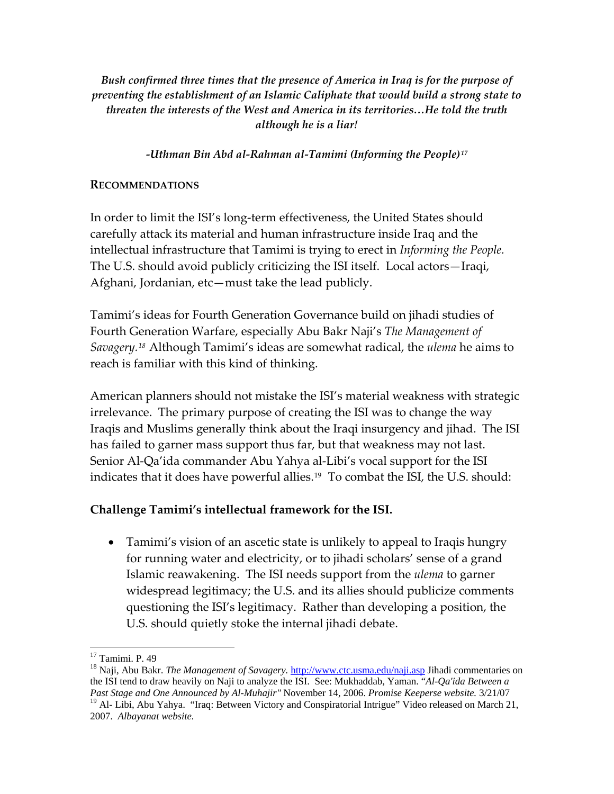*Bush confirmed three times that the presence of America in Iraq is for the purpose of preventing the establishment of an Islamic Caliphate that would build a strong state to threaten the interests of the West and America in its territories…He told the truth although he is a liar!*

*‐Uthman Bin Abd al‐Rahman al‐Tamimi (Informing the People)[17](#page-8-0)*

#### **RECOMMENDATIONS**

In order to limit the ISI's long-term effectiveness, the United States should carefully attack its material and human infrastructure inside Iraq and the intellectual infrastructure that Tamimi is trying to erect in *Informing the People.* The U.S. should avoid publicly criticizing the ISI itself. Local actors—Iraqi, Afghani, Jordanian, etc—must take the lead publicly.

Tamimi's ideas for Fourth Generation Governance build on jihadi studies of Fourth Generation Warfare, especially Abu Bakr Naji's *The Management of Savagery.[18](#page-8-1)* Although Tamimi's ideas are somewhat radical, the *ulema* he aims to reach is familiar with this kind of thinking.

American planners should not mistake the ISI's material weakness with strategic irrelevance. The primary purpose of creating the ISI was to change the way Iraqis and Muslims generally think about the Iraqi insurgency and jihad. The ISI has failed to garner mass support thus far, but that weakness may not last. Senior Al-Qa'ida commander Abu Yahya al-Libi's vocal support for the ISI indicates that it does have powerful allies.<sup>[19](#page-8-2)</sup> To combat the ISI, the U.S. should:

## **Challenge Tamimi's intellectual framework for the ISI.**

• Tamimi's vision of an ascetic state is unlikely to appeal to Iraqis hungry for running water and electricity, or to jihadi scholars' sense of a grand Islamic reawakening. The ISI needs support from the *ulema* to garner widespread legitimacy; the U.S. and its allies should publicize comments questioning the ISI's legitimacy. Rather than developing a position, the U.S. should quietly stoke the internal jihadi debate.

 $\overline{a}$ <sup>17</sup> Tamimi. P. 49

<span id="page-8-2"></span><span id="page-8-1"></span><span id="page-8-0"></span><sup>&</sup>lt;sup>18</sup> Naji, Abu Bakr. *The Management of Savagery*. *http://www.ctc.usma.edu/naji.asp* Jihadi commentaries on the ISI tend to draw heavily on Naji to analyze the ISI. See: Mukhaddab, Yaman. "*Al-Qa'ida Between a Past Stage and One Announced by Al-Muhajir"* November 14, 2006. *Promise Keeperse website.* 3/21/07 <sup>19</sup> Al- Libi, Abu Yahya. "Iraq: Between Victory and Conspiratorial Intrigue" Video released on March 21, 2007. *Albayanat website.*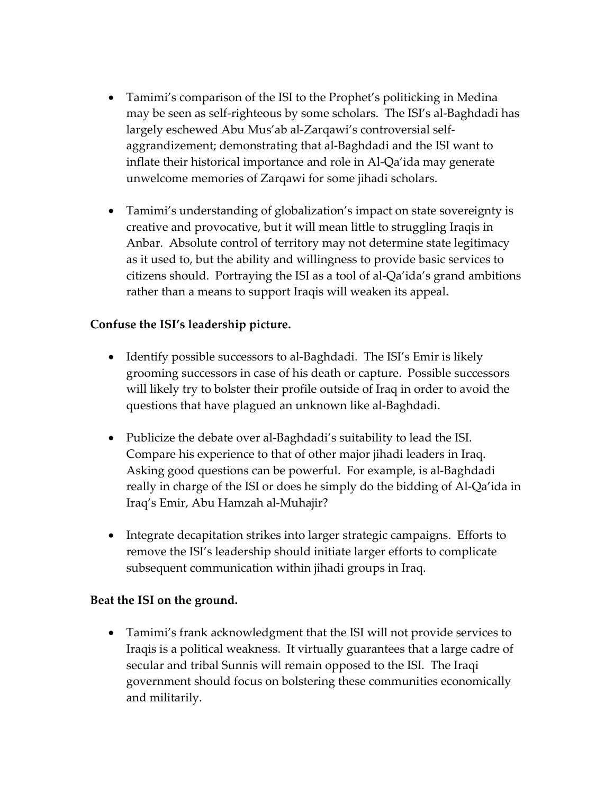- Tamimi's comparison of the ISI to the Prophet's politicking in Medina may be seen as self‐righteous by some scholars. The ISI's al‐Baghdadi has largely eschewed Abu Mus'ab al‐Zarqawi's controversial self‐ aggrandizement; demonstrating that al‐Baghdadi and the ISI want to inflate their historical importance and role in Al‐Qa'ida may generate unwelcome memories of Zarqawi for some jihadi scholars.
- Tamimi's understanding of globalization's impact on state sovereignty is creative and provocative, but it will mean little to struggling Iraqis in Anbar. Absolute control of territory may not determine state legitimacy as it used to, but the ability and willingness to provide basic services to citizens should. Portraying the ISI as a tool of al‐Qa'ida's grand ambitions rather than a means to support Iraqis will weaken its appeal.

## **Confuse the ISI's leadership picture.**

- Identify possible successors to al-Baghdadi. The ISI's Emir is likely grooming successors in case of his death or capture. Possible successors will likely try to bolster their profile outside of Iraq in order to avoid the questions that have plagued an unknown like al‐Baghdadi.
- Publicize the debate over al-Baghdadi's suitability to lead the ISI. Compare his experience to that of other major jihadi leaders in Iraq. Asking good questions can be powerful. For example, is al‐Baghdadi really in charge of the ISI or does he simply do the bidding of Al‐Qa'ida in Iraq's Emir, Abu Hamzah al‐Muhajir?
- Integrate decapitation strikes into larger strategic campaigns. Efforts to remove the ISI's leadership should initiate larger efforts to complicate subsequent communication within jihadi groups in Iraq.

#### **Beat the ISI on the ground.**

• Tamimi's frank acknowledgment that the ISI will not provide services to Iraqis is a political weakness. It virtually guarantees that a large cadre of secular and tribal Sunnis will remain opposed to the ISI. The Iraqi government should focus on bolstering these communities economically and militarily.